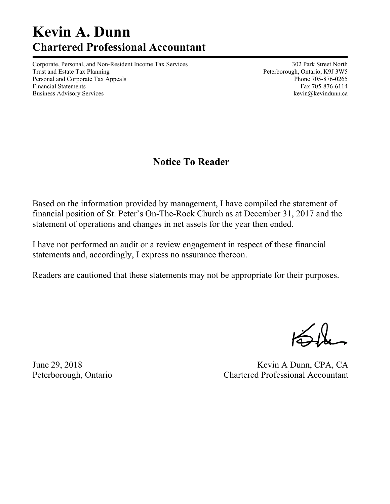# **Kevin A. Dunn Chartered Professional Accountant**

Corporate, Personal, and Non-Resident Income Tax Services 302 Park Street North Trust and Estate Tax Planning Trust and Estate Tax Planning Peterborough, Ontario, K9J 3W5 Personal and Corporate Tax Appeals **Phone 705-876-0265** Phone 705-876-0265 Financial Statements Fax 705-876-6114 Business Advisory Services and the service of the service of the service of the service of the service of the service of the service of the service of the service of the service of the service of the service of the service

## **Notice To Reader**

Based on the information provided by management, I have compiled the statement of financial position of St. Peter's On-The-Rock Church as at December 31, 2017 and the statement of operations and changes in net assets for the year then ended.

I have not performed an audit or a review engagement in respect of these financial statements and, accordingly, I express no assurance thereon.

Readers are cautioned that these statements may not be appropriate for their purposes.

June 29, 2018 Kevin A Dunn, CPA, CA Peterborough, Ontario Chartered Professional Accountant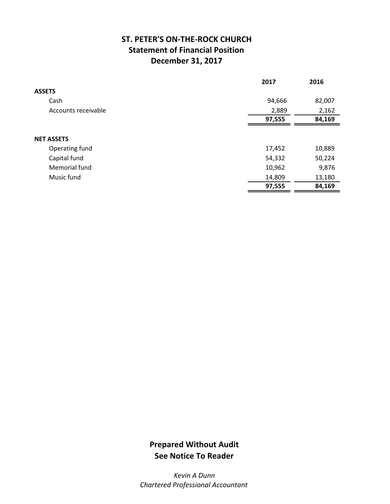## **ST. PETER'S ON‐THE‐ROCK CHURCH Statement of Financial Position December 31, 2017**

|                     | 2017   | 2016   |
|---------------------|--------|--------|
| <b>ASSETS</b>       |        |        |
| Cash                | 94,666 | 82,007 |
| Accounts receivable | 2,889  | 2,162  |
|                     | 97,555 | 84,169 |
|                     |        |        |
| <b>NET ASSETS</b>   |        |        |
| Operating fund      | 17,452 | 10,889 |
| Capital fund        | 54,332 | 50,224 |
| Memorial fund       | 10,962 | 9,876  |
| Music fund          | 14,809 | 13,180 |
|                     | 97,555 | 84,169 |

## **Prepared Without Audit See Notice To Reader**

*Kevin A Dunn Chartered Professional Accountant*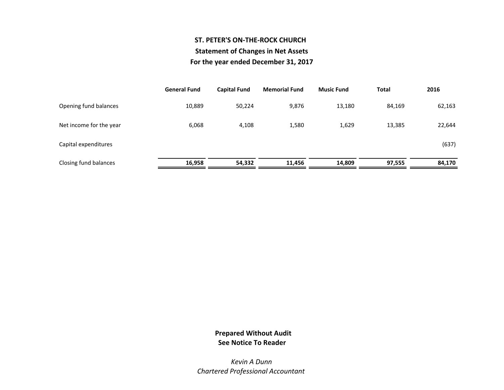### **ST. PETER'S ON‐THE‐ROCK CHURCHStatement of Changes in Net Assets For the year ended December 31, 2017**

|                         | <b>General Fund</b> | <b>Capital Fund</b> | <b>Memorial Fund</b> | <b>Music Fund</b> | <b>Total</b> | 2016   |
|-------------------------|---------------------|---------------------|----------------------|-------------------|--------------|--------|
| Opening fund balances   | 10,889              | 50,224              | 9,876                | 13,180            | 84,169       | 62,163 |
| Net income for the year | 6,068               | 4,108               | 1,580                | 1,629             | 13,385       | 22,644 |
| Capital expenditures    |                     |                     |                      |                   |              | (637)  |
| Closing fund balances   | 16,958              | 54,332              | 11,456               | 14,809            | 97,555       | 84,170 |

#### **Prepared Without Audit See Notice To Reader**

*Kevin A DunnChartered Professional Accountant*